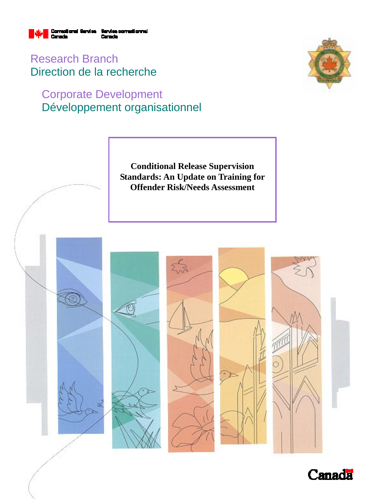

Research Branch Direction de la recherche

# Corporate Development Développement organisationnel



**Conditional Release Supervision Standards: An Update on Training for Offender Risk/Needs Assessment** 

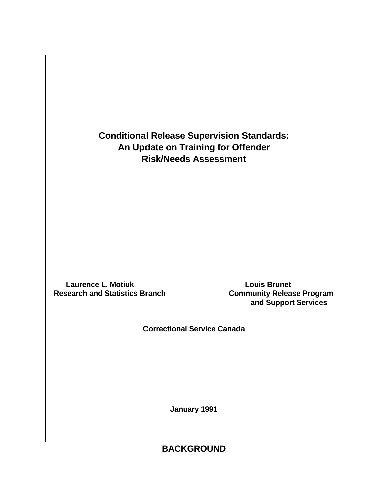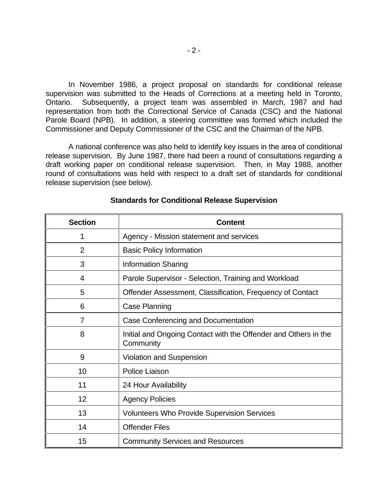In November 1986, a project proposal on standards for conditional release supervision was submitted to the Heads of Corrections at a meeting held in Toronto, Ontario. Subsequently, a project team was assembled in March, 1987 and had representation from both the Correctional Service of Canada (CSC) and the National Parole Board (NPB). In addition, a steering committee was formed which included the Commissioner and Deputy Commissioner of the CSC and the Chairman of the NPB.

A national conference was also held to identify key issues in the area of conditional release supervision. By June 1987, there had been a round of consultations regarding a draft working paper on conditional release supervision. Then, in May 1988, another round of consultations was held with respect to a draft set of standards for conditional release supervision (see below).

| <b>Section</b> | <b>Content</b>                                                               |  |
|----------------|------------------------------------------------------------------------------|--|
| 1              | Agency - Mission statement and services                                      |  |
| $\overline{2}$ | <b>Basic Policy Information</b>                                              |  |
| 3              | <b>Information Sharing</b>                                                   |  |
| 4              | Parole Supervisor - Selection, Training and Workload                         |  |
| 5              | Offender Assessment, Classification, Frequency of Contact                    |  |
| 6              | Case Planning                                                                |  |
| 7              | Case Conferencing and Documentation                                          |  |
| 8              | Initial and Ongoing Contact with the Offender and Others in the<br>Community |  |
| 9              | <b>Violation and Suspension</b>                                              |  |
| 10             | Police Liaison                                                               |  |
| 11             | 24 Hour Availability                                                         |  |
| 12             | <b>Agency Policies</b>                                                       |  |
| 13             | <b>Volunteers Who Provide Supervision Services</b>                           |  |
| 14             | <b>Offender Files</b>                                                        |  |
| 15             | <b>Community Services and Resources</b>                                      |  |

#### **Standards for Conditional Release Supervision**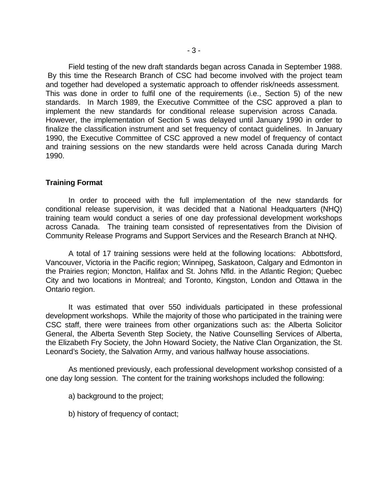Field testing of the new draft standards began across Canada in September 1988. By this time the Research Branch of CSC had become involved with the project team and together had developed a systematic approach to offender risk/needs assessment. This was done in order to fulfil one of the requirements (i.e., Section 5) of the new standards. In March 1989, the Executive Committee of the CSC approved a plan to implement the new standards for conditional release supervision across Canada. However, the implementation of Section 5 was delayed until January 1990 in order to finalize the classification instrument and set frequency of contact guidelines. In January 1990, the Executive Committee of CSC approved a new model of frequency of contact and training sessions on the new standards were held across Canada during March 1990.

#### **Training Format**

In order to proceed with the full implementation of the new standards for conditional release supervision, it was decided that a National Headquarters (NHQ) training team would conduct a series of one day professional development workshops across Canada. The training team consisted of representatives from the Division of Community Release Programs and Support Services and the Research Branch at NHQ.

A total of 17 training sessions were held at the following locations: Abbottsford, Vancouver, Victoria in the Pacific region; Winnipeg, Saskatoon, Calgary and Edmonton in the Prairies region; Moncton, Halifax and St. Johns Nfld. in the Atlantic Region; Quebec City and two locations in Montreal; and Toronto, Kingston, London and Ottawa in the Ontario region.

It was estimated that over 550 individuals participated in these professional development workshops. While the majority of those who participated in the training were CSC staff, there were trainees from other organizations such as: the Alberta Solicitor General, the Alberta Seventh Step Society, the Native Counselling Services of Alberta, the Elizabeth Fry Society, the John Howard Society, the Native Clan Organization, the St. Leonard's Society, the Salvation Army, and various halfway house associations.

As mentioned previously, each professional development workshop consisted of a one day long session. The content for the training workshops included the following:

a) background to the project;

b) history of frequency of contact;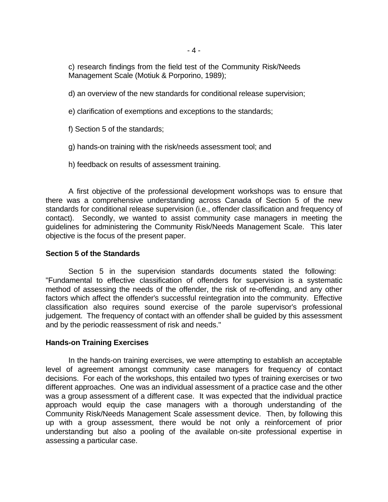c) research findings from the field test of the Community Risk/Needs Management Scale (Motiuk & Porporino, 1989);

d) an overview of the new standards for conditional release supervision;

e) clarification of exemptions and exceptions to the standards;

f) Section 5 of the standards;

g) hands-on training with the risk/needs assessment tool; and

h) feedback on results of assessment training.

A first objective of the professional development workshops was to ensure that there was a comprehensive understanding across Canada of Section 5 of the new standards for conditional release supervision (i.e., offender classification and frequency of contact). Secondly, we wanted to assist community case managers in meeting the guidelines for administering the Community Risk/Needs Management Scale. This later objective is the focus of the present paper.

## **Section 5 of the Standards**

Section 5 in the supervision standards documents stated the following: "Fundamental to effective classification of offenders for supervision is a systematic method of assessing the needs of the offender, the risk of re-offending, and any other factors which affect the offender's successful reintegration into the community. Effective classification also requires sound exercise of the parole supervisor's professional judgement. The frequency of contact with an offender shall be guided by this assessment and by the periodic reassessment of risk and needs."

### **Hands-on Training Exercises**

In the hands-on training exercises, we were attempting to establish an acceptable level of agreement amongst community case managers for frequency of contact decisions. For each of the workshops, this entailed two types of training exercises or two different approaches. One was an individual assessment of a practice case and the other was a group assessment of a different case. It was expected that the individual practice approach would equip the case managers with a thorough understanding of the Community Risk/Needs Management Scale assessment device. Then, by following this up with a group assessment, there would be not only a reinforcement of prior understanding but also a pooling of the available on-site professional expertise in assessing a particular case.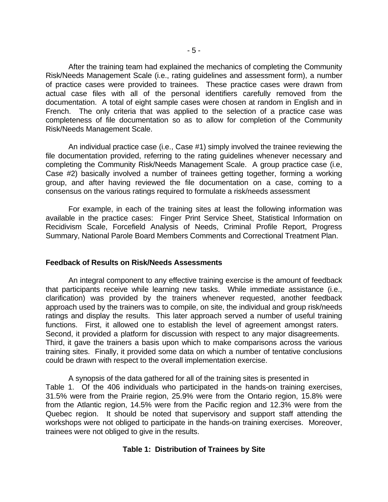After the training team had explained the mechanics of completing the Community Risk/Needs Management Scale (i.e., rating guidelines and assessment form), a number of practice cases were provided to trainees. These practice cases were drawn from actual case files with all of the personal identifiers carefully removed from the documentation. A total of eight sample cases were chosen at random in English and in French. The only criteria that was applied to the selection of a practice case was completeness of file documentation so as to allow for completion of the Community Risk/Needs Management Scale.

An individual practice case (i.e., Case #1) simply involved the trainee reviewing the file documentation provided, referring to the rating guidelines whenever necessary and completing the Community Risk/Needs Management Scale. A group practice case (i.e, Case #2) basically involved a number of trainees getting together, forming a working group, and after having reviewed the file documentation on a case, coming to a consensus on the various ratings required to formulate a risk/needs assessment

For example, in each of the training sites at least the following information was available in the practice cases: Finger Print Service Sheet, Statistical Information on Recidivism Scale, Forcefield Analysis of Needs, Criminal Profile Report, Progress Summary, National Parole Board Members Comments and Correctional Treatment Plan.

#### **Feedback of Results on Risk/Needs Assessments**

An integral component to any effective training exercise is the amount of feedback that participants receive while learning new tasks. While immediate assistance (i.e., clarification) was provided by the trainers whenever requested, another feedback approach used by the trainers was to compile, on site, the individual and group risk/needs ratings and display the results. This later approach served a number of useful training functions. First, it allowed one to establish the level of agreement amongst raters. Second, it provided a platform for discussion with respect to any major disagreements. Third, it gave the trainers a basis upon which to make comparisons across the various training sites. Finally, it provided some data on which a number of tentative conclusions could be drawn with respect to the overall implementation exercise.

A synopsis of the data gathered for all of the training sites is presented in Table 1. Of the 406 individuals who participated in the hands-on training exercises, 31.5% were from the Prairie region, 25.9% were from the Ontario region, 15.8% were from the Atlantic region, 14.5% were from the Pacific region and 12.3% were from the Quebec region. It should be noted that supervisory and support staff attending the workshops were not obliged to participate in the hands-on training exercises. Moreover, trainees were not obliged to give in the results.

### **Table 1: Distribution of Trainees by Site**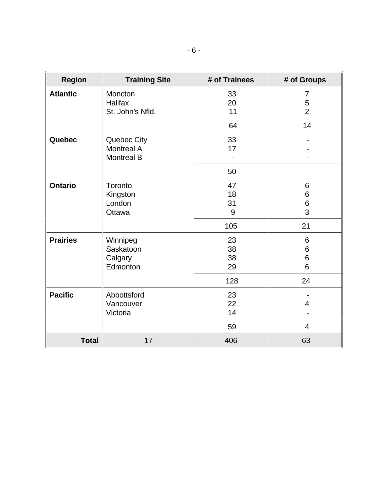| <b>Region</b>   | <b>Training Site</b>                                  | # of Trainees               | # of Groups                      |
|-----------------|-------------------------------------------------------|-----------------------------|----------------------------------|
| <b>Atlantic</b> | Moncton<br>Halifax<br>St. John's Nfld.                | 33<br>20<br>11              | 7<br>5<br>$\overline{2}$         |
|                 |                                                       | 64                          | 14                               |
| Quebec          | Quebec City<br><b>Montreal A</b><br><b>Montreal B</b> | 33<br>17                    |                                  |
|                 |                                                       | 50                          |                                  |
| <b>Ontario</b>  | Toronto<br>Kingston<br>London<br>Ottawa               | 47<br>18<br>31<br>9<br>105  | 6<br>6<br>$\,$ 6 $\,$<br>3<br>21 |
| <b>Prairies</b> | Winnipeg<br>Saskatoon<br>Calgary<br>Edmonton          | 23<br>38<br>38<br>29<br>128 | 6<br>6<br>6<br>6<br>24           |
| <b>Pacific</b>  | Abbottsford<br>Vancouver<br>Victoria                  | 23<br>22<br>14<br>59        | 4<br>$\overline{4}$              |
| <b>Total</b>    | 17                                                    | 406                         | 63                               |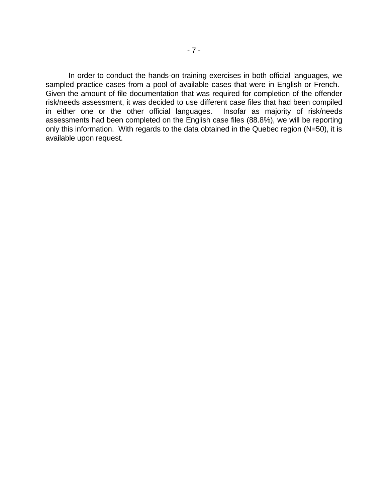In order to conduct the hands-on training exercises in both official languages, we sampled practice cases from a pool of available cases that were in English or French. Given the amount of file documentation that was required for completion of the offender risk/needs assessment, it was decided to use different case files that had been compiled in either one or the other official languages. Insofar as majority of risk/needs assessments had been completed on the English case files (88.8%), we will be reporting only this information. With regards to the data obtained in the Quebec region (N=50), it is available upon request.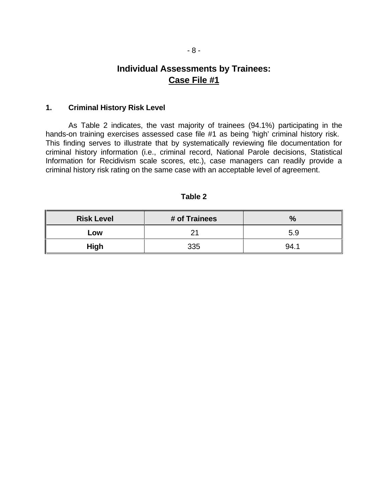## **Individual Assessments by Trainees: Case File #1**

#### **1. Criminal History Risk Level**

As Table 2 indicates, the vast majority of trainees (94.1%) participating in the hands-on training exercises assessed case file #1 as being 'high' criminal history risk. This finding serves to illustrate that by systematically reviewing file documentation for criminal history information (i.e., criminal record, National Parole decisions, Statistical Information for Recidivism scale scores, etc.), case managers can readily provide a criminal history risk rating on the same case with an acceptable level of agreement.

| <b>Risk Level</b> | # of Trainees | 07  |
|-------------------|---------------|-----|
| LOW               |               | 5.9 |
| <b>High</b>       | 335           | 94. |

**Table 2**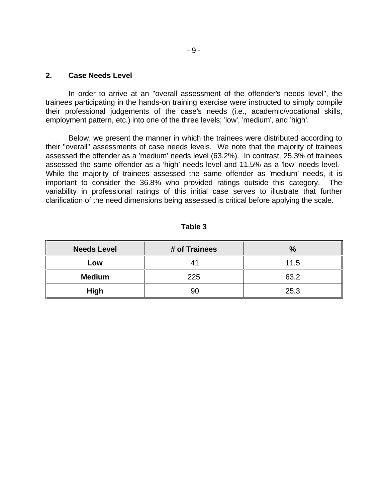#### **2. Case Needs Level**

In order to arrive at an "overall assessment of the offender's needs level", the trainees participating in the hands-on training exercise were instructed to simply compile their professional judgements of the case's needs (i.e., academic/vocational skills, employment pattern, etc.) into one of the three levels; 'low', 'medium', and 'high'.

Below, we present the manner in which the trainees were distributed according to their "overall" assessments of case needs levels. We note that the majority of trainees assessed the offender as a 'medium' needs level (63.2%). In contrast, 25.3% of trainees assessed the same offender as a 'high' needs level and 11.5% as a 'low' needs level. While the majority of trainees assessed the same offender as 'medium' needs, it is important to consider the 36.8% who provided ratings outside this category. The variability in professional ratings of this initial case serves to illustrate that further clarification of the need dimensions being assessed is critical before applying the scale.

| <b>Needs Level</b> | # of Trainees | $\%$ |
|--------------------|---------------|------|
| Low                | 41            | 11.5 |
| <b>Medium</b>      | 225           | 63.2 |
| <b>High</b>        | 90            | 25.3 |

**Table 3**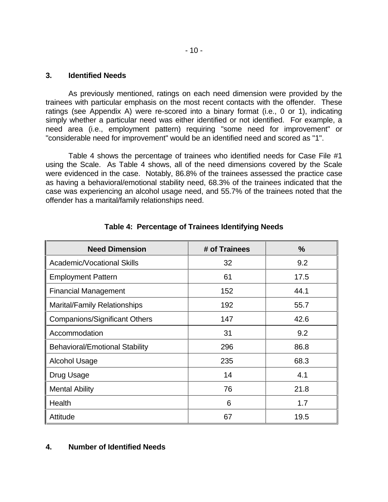#### **3. Identified Needs**

As previously mentioned, ratings on each need dimension were provided by the trainees with particular emphasis on the most recent contacts with the offender. These ratings (see Appendix A) were re-scored into a binary format (i.e., 0 or 1), indicating simply whether a particular need was either identified or not identified. For example, a need area (i.e., employment pattern) requiring "some need for improvement" or "considerable need for improvement" would be an identified need and scored as "1".

Table 4 shows the percentage of trainees who identified needs for Case File #1 using the Scale. As Table 4 shows, all of the need dimensions covered by the Scale were evidenced in the case. Notably, 86.8% of the trainees assessed the practice case as having a behavioral/emotional stability need, 68.3% of the trainees indicated that the case was experiencing an alcohol usage need, and 55.7% of the trainees noted that the offender has a marital/family relationships need.

| <b>Need Dimension</b>                 | # of Trainees | $\frac{9}{6}$ |
|---------------------------------------|---------------|---------------|
| <b>Academic/Vocational Skills</b>     | 32            | 9.2           |
| <b>Employment Pattern</b>             | 61            | 17.5          |
| <b>Financial Management</b>           | 152           | 44.1          |
| <b>Marital/Family Relationships</b>   | 192           | 55.7          |
| <b>Companions/Significant Others</b>  | 147           | 42.6          |
| Accommodation                         | 31            | 9.2           |
| <b>Behavioral/Emotional Stability</b> | 296           | 86.8          |
| <b>Alcohol Usage</b>                  | 235           | 68.3          |
| Drug Usage                            | 14            | 4.1           |
| <b>Mental Ability</b>                 | 76            | 21.8          |
| Health                                | 6             | 1.7           |
| Attitude                              | 67            | 19.5          |

### **Table 4: Percentage of Trainees Identifying Needs**

### **4. Number of Identified Needs**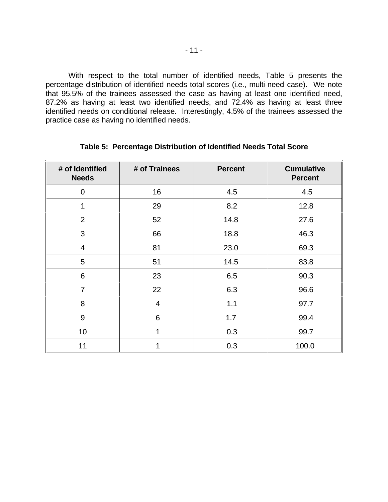With respect to the total number of identified needs, Table 5 presents the percentage distribution of identified needs total scores (i.e., multi-need case). We note that 95.5% of the trainees assessed the case as having at least one identified need, 87.2% as having at least two identified needs, and 72.4% as having at least three identified needs on conditional release. Interestingly, 4.5% of the trainees assessed the practice case as having no identified needs.

| # of Identified<br><b>Needs</b> | # of Trainees  | <b>Percent</b> | <b>Cumulative</b><br><b>Percent</b> |
|---------------------------------|----------------|----------------|-------------------------------------|
| $\overline{0}$                  | 16             | 4.5            | 4.5                                 |
| 1                               | 29             | 8.2            | 12.8                                |
| $\overline{2}$                  | 52             | 14.8           | 27.6                                |
| 3                               | 66             | 18.8           | 46.3                                |
| $\overline{4}$                  | 81             | 23.0           | 69.3                                |
| 5                               | 51             | 14.5           | 83.8                                |
| 6                               | 23             | 6.5            | 90.3                                |
| $\overline{7}$                  | 22             | 6.3            | 96.6                                |
| 8                               | $\overline{4}$ | 1.1            | 97.7                                |
| 9                               | 6              | 1.7            | 99.4                                |
| 10                              | 1              | 0.3            | 99.7                                |
| 11                              | 1              | 0.3            | 100.0                               |

## **Table 5: Percentage Distribution of Identified Needs Total Score**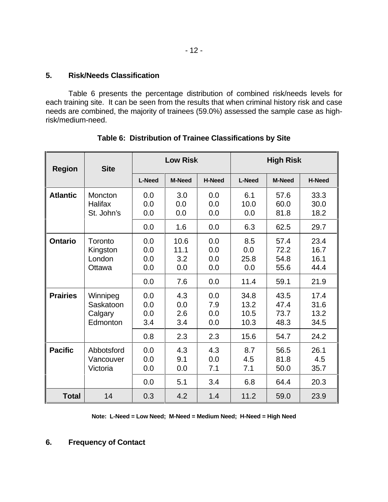### **5. Risk/Needs Classification**

Table 6 presents the percentage distribution of combined risk/needs levels for each training site. It can be seen from the results that when criminal history risk and case needs are combined, the majority of trainees (59.0%) assessed the sample case as highrisk/medium-need.

| <b>Region</b>   | <b>Site</b>                                  |                                 | Low Risk                          |                                 |                                      | <b>High Risk</b>                     |                                      |
|-----------------|----------------------------------------------|---------------------------------|-----------------------------------|---------------------------------|--------------------------------------|--------------------------------------|--------------------------------------|
|                 |                                              | <b>L-Need</b>                   | <b>M-Need</b>                     | <b>H-Need</b>                   | <b>L-Need</b>                        | <b>M-Need</b>                        | <b>H-Need</b>                        |
| <b>Atlantic</b> | Moncton<br><b>Halifax</b><br>St. John's      | 0.0<br>0.0<br>0.0<br>0.0        | 3.0<br>0.0<br>0.0<br>1.6          | 0.0<br>0.0<br>0.0<br>0.0        | 6.1<br>10.0<br>0.0<br>6.3            | 57.6<br>60.0<br>81.8<br>62.5         | 33.3<br>30.0<br>18.2<br>29.7         |
| <b>Ontario</b>  | Toronto<br>Kingston<br>London<br>Ottawa      | 0.0<br>0.0<br>0.0<br>0.0<br>0.0 | 10.6<br>11.1<br>3.2<br>0.0<br>7.6 | 0.0<br>0.0<br>0.0<br>0.0<br>0.0 | 8.5<br>0.0<br>25.8<br>0.0<br>11.4    | 57.4<br>72.2<br>54.8<br>55.6<br>59.1 | 23.4<br>16.7<br>16.1<br>44.4<br>21.9 |
| <b>Prairies</b> | Winnipeg<br>Saskatoon<br>Calgary<br>Edmonton | 0.0<br>0.0<br>0.0<br>3.4<br>0.8 | 4.3<br>0.0<br>2.6<br>3.4<br>2.3   | 0.0<br>7.9<br>0.0<br>0.0<br>2.3 | 34.8<br>13.2<br>10.5<br>10.3<br>15.6 | 43.5<br>47.4<br>73.7<br>48.3<br>54.7 | 17.4<br>31.6<br>13.2<br>34.5<br>24.2 |
| <b>Pacific</b>  | Abbotsford<br>Vancouver<br>Victoria          | 0.0<br>0.0<br>0.0<br>0.0        | 4.3<br>9.1<br>0.0<br>5.1          | 4.3<br>0.0<br>7.1<br>3.4        | 8.7<br>4.5<br>7.1<br>6.8             | 56.5<br>81.8<br>50.0<br>64.4         | 26.1<br>4.5<br>35.7<br>20.3          |
| <b>Total</b>    | 14                                           | 0.3                             | 4.2                               | 1.4                             | 11.2                                 | 59.0                                 | 23.9                                 |

**Table 6: Distribution of Trainee Classifications by Site**

**Note: L-Need = Low Need; M-Need = Medium Need; H-Need = High Need**

## **6. Frequency of Contact**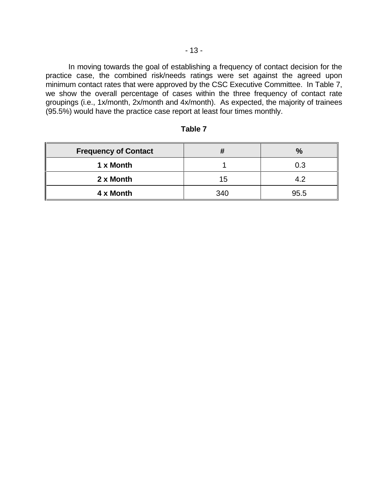In moving towards the goal of establishing a frequency of contact decision for the practice case, the combined risk/needs ratings were set against the agreed upon minimum contact rates that were approved by the CSC Executive Committee. In Table 7, we show the overall percentage of cases within the three frequency of contact rate groupings (i.e., 1x/month, 2x/month and 4x/month). As expected, the majority of trainees (95.5%) would have the practice case report at least four times monthly.

| <b>Frequency of Contact</b> |     | $\%$ |
|-----------------------------|-----|------|
| 1 x Month                   |     | 0.3  |
| 2 x Month                   | 15  | A 2  |
| 4 x Month                   | 340 | 95.5 |

#### **Table 7**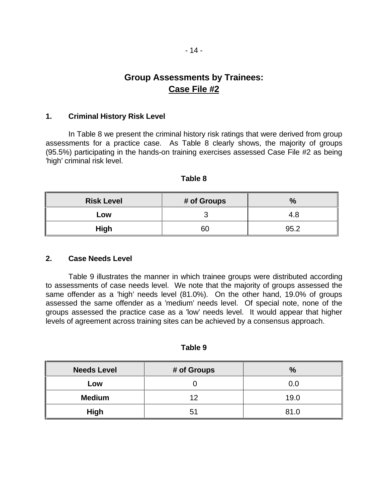## **Group Assessments by Trainees: Case File #2**

#### **1. Criminal History Risk Level**

In Table 8 we present the criminal history risk ratings that were derived from group assessments for a practice case. As Table 8 clearly shows, the majority of groups (95.5%) participating in the hands-on training exercises assessed Case File #2 as being 'high' criminal risk level.

| ΙOΙ<br>ľ e |  |
|------------|--|
|------------|--|

| <b>Risk Level</b> | # of Groups | $\mathbf{0}$ |
|-------------------|-------------|--------------|
| Low               |             | 4.8          |
| <b>High</b>       | 60          | 95.2         |

#### **2. Case Needs Level**

Table 9 illustrates the manner in which trainee groups were distributed according to assessments of case needs level. We note that the majority of groups assessed the same offender as a 'high' needs level (81.0%). On the other hand, 19.0% of groups assessed the same offender as a 'medium' needs level. Of special note, none of the groups assessed the practice case as a 'low' needs level. It would appear that higher levels of agreement across training sites can be achieved by a consensus approach.

| I<br>I0<br>. . |  |
|----------------|--|
|----------------|--|

| <b>Needs Level</b> | # of Groups | %    |
|--------------------|-------------|------|
| Low                |             | 0.0  |
| <b>Medium</b>      | イク          | 19.0 |
| <b>High</b>        | 51          | 81.0 |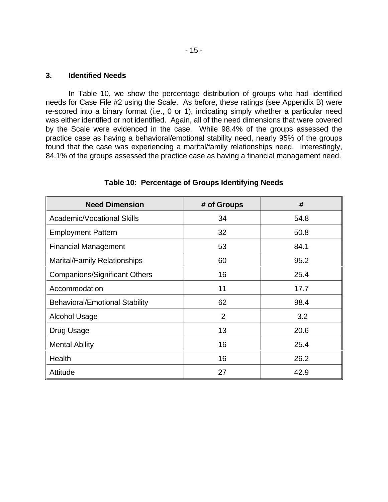#### **3. Identified Needs**

In Table 10, we show the percentage distribution of groups who had identified needs for Case File #2 using the Scale. As before, these ratings (see Appendix B) were re-scored into a binary format (i.e., 0 or 1), indicating simply whether a particular need was either identified or not identified. Again, all of the need dimensions that were covered by the Scale were evidenced in the case. While 98.4% of the groups assessed the practice case as having a behavioral/emotional stability need, nearly 95% of the groups found that the case was experiencing a marital/family relationships need. Interestingly, 84.1% of the groups assessed the practice case as having a financial management need.

| <b>Need Dimension</b>                 | # of Groups    | #    |
|---------------------------------------|----------------|------|
| Academic/Vocational Skills            | 34             | 54.8 |
| <b>Employment Pattern</b>             | 32             | 50.8 |
| <b>Financial Management</b>           | 53             | 84.1 |
| <b>Marital/Family Relationships</b>   | 60             | 95.2 |
| <b>Companions/Significant Others</b>  | 16             | 25.4 |
| Accommodation                         | 11             | 17.7 |
| <b>Behavioral/Emotional Stability</b> | 62             | 98.4 |
| <b>Alcohol Usage</b>                  | $\overline{2}$ | 3.2  |
| Drug Usage                            | 13             | 20.6 |
| <b>Mental Ability</b>                 | 16             | 25.4 |
| Health                                | 16             | 26.2 |
| Attitude                              | 27             | 42.9 |

**Table 10: Percentage of Groups Identifying Needs**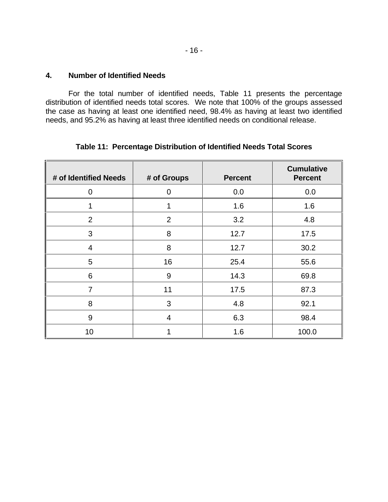#### **4. Number of Identified Needs**

For the total number of identified needs, Table 11 presents the percentage distribution of identified needs total scores. We note that 100% of the groups assessed the case as having at least one identified need, 98.4% as having at least two identified needs, and 95.2% as having at least three identified needs on conditional release.

| # of Identified Needs | # of Groups | <b>Percent</b> | <b>Cumulative</b><br><b>Percent</b> |
|-----------------------|-------------|----------------|-------------------------------------|
| $\overline{0}$        | $\Omega$    | 0.0            | 0.0                                 |
| 1                     | 1           | 1.6            | 1.6                                 |
| $\overline{2}$        | 2           | 3.2            | 4.8                                 |
| 3                     | 8           | 12.7           | 17.5                                |
| $\overline{4}$        | 8           | 12.7           | 30.2                                |
| 5                     | 16          | 25.4           | 55.6                                |
| 6                     | 9           | 14.3           | 69.8                                |
| 7                     | 11          | 17.5           | 87.3                                |
| 8                     | 3           | 4.8            | 92.1                                |
| 9                     | 4           | 6.3            | 98.4                                |
| 10                    |             | 1.6            | 100.0                               |

**Table 11: Percentage Distribution of Identified Needs Total Scores**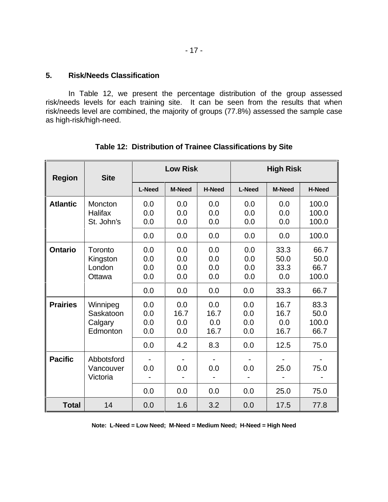In Table 12, we present the percentage distribution of the group assessed risk/needs levels for each training site. It can be seen from the results that when risk/needs level are combined, the majority of groups (77.8%) assessed the sample case as high-risk/high-need.

| <b>Region</b>   | <b>Site</b>                                  | Low Risk                 |                                  |                            | <b>High Risk</b>         |                             |                               |
|-----------------|----------------------------------------------|--------------------------|----------------------------------|----------------------------|--------------------------|-----------------------------|-------------------------------|
|                 |                                              | <b>L-Need</b>            | <b>M-Need</b>                    | <b>H-Need</b>              | <b>L-Need</b>            | <b>M-Need</b>               | H-Need                        |
| <b>Atlantic</b> | Moncton<br><b>Halifax</b><br>St. John's      | 0.0<br>0.0<br>0.0        | 0.0<br>0.0<br>0.0                | 0.0<br>0.0<br>0.0          | 0.0<br>0.0<br>0.0        | 0.0<br>0.0<br>0.0           | 100.0<br>100.0<br>100.0       |
|                 |                                              | 0.0                      | 0.0                              | 0.0                        | 0.0                      | 0.0                         | 100.0                         |
| <b>Ontario</b>  | Toronto<br>Kingston<br>London<br>Ottawa      | 0.0<br>0.0<br>0.0<br>0.0 | 0.0<br>0.0<br>0.0<br>0.0         | 0.0<br>0.0<br>0.0<br>0.0   | 0.0<br>0.0<br>0.0<br>0.0 | 33.3<br>50.0<br>33.3<br>0.0 | 66.7<br>50.0<br>66.7<br>100.0 |
|                 |                                              | 0.0                      | 0.0                              | 0.0                        | 0.0                      | 33.3                        | 66.7                          |
| <b>Prairies</b> | Winnipeg<br>Saskatoon<br>Calgary<br>Edmonton | 0.0<br>0.0<br>0.0<br>0.0 | 0.0<br>16.7<br>0.0<br>0.0<br>4.2 | 0.0<br>16.7<br>0.0<br>16.7 | 0.0<br>0.0<br>0.0<br>0.0 | 16.7<br>16.7<br>0.0<br>16.7 | 83.3<br>50.0<br>100.0<br>66.7 |
| <b>Pacific</b>  | Abbotsford<br>Vancouver<br>Victoria          | 0.0<br>0.0               | 0.0                              | 8.3<br>0.0                 | 0.0<br>0.0               | 12.5<br>25.0                | 75.0<br>75.0                  |
|                 |                                              | 0.0                      | 0.0                              | 0.0                        | 0.0                      | 25.0                        | 75.0                          |
| <b>Total</b>    | 14                                           | 0.0                      | 1.6                              | 3.2                        | 0.0                      | 17.5                        | 77.8                          |

**Table 12: Distribution of Trainee Classifications by Site**

**Note: L-Need = Low Need; M-Need = Medium Need; H-Need = High Need**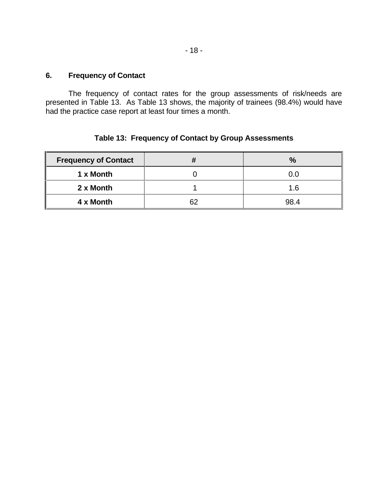The frequency of contact rates for the group assessments of risk/needs are presented in Table 13. As Table 13 shows, the majority of trainees (98.4%) would have had the practice case report at least four times a month.

## **Table 13: Frequency of Contact by Group Assessments**

| <b>Frequency of Contact</b> |    | %    |
|-----------------------------|----|------|
| 1 x Month                   |    | 0.0  |
| 2 x Month                   |    | 1.6  |
| 4 x Month                   | ຂາ | 98.4 |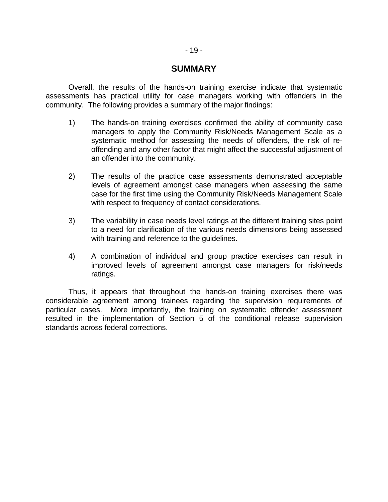## **SUMMARY**

Overall, the results of the hands-on training exercise indicate that systematic assessments has practical utility for case managers working with offenders in the community. The following provides a summary of the major findings:

- 1) The hands-on training exercises confirmed the ability of community case managers to apply the Community Risk/Needs Management Scale as a systematic method for assessing the needs of offenders, the risk of reoffending and any other factor that might affect the successful adjustment of an offender into the community.
- 2) The results of the practice case assessments demonstrated acceptable levels of agreement amongst case managers when assessing the same case for the first time using the Community Risk/Needs Management Scale with respect to frequency of contact considerations.
- 3) The variability in case needs level ratings at the different training sites point to a need for clarification of the various needs dimensions being assessed with training and reference to the guidelines.
- 4) A combination of individual and group practice exercises can result in improved levels of agreement amongst case managers for risk/needs ratings.

Thus, it appears that throughout the hands-on training exercises there was considerable agreement among trainees regarding the supervision requirements of particular cases. More importantly, the training on systematic offender assessment resulted in the implementation of Section 5 of the conditional release supervision standards across federal corrections.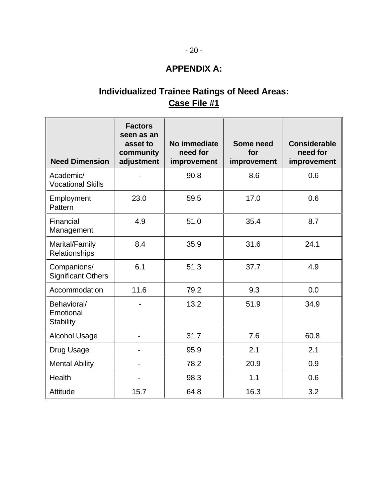## **APPENDIX A:**

## **Individualized Trainee Ratings of Need Areas: Case File #1**

| <b>Need Dimension</b>                        | <b>Factors</b><br>seen as an<br>asset to<br>community<br>adjustment | No immediate<br>need for<br>improvement | Some need<br>for<br>improvement | <b>Considerable</b><br>need for<br>improvement |
|----------------------------------------------|---------------------------------------------------------------------|-----------------------------------------|---------------------------------|------------------------------------------------|
| Academic/<br><b>Vocational Skills</b>        |                                                                     | 90.8                                    | 8.6                             | 0.6                                            |
| Employment<br>Pattern                        | 23.0                                                                | 59.5                                    | 17.0                            | 0.6                                            |
| Financial<br>Management                      | 4.9                                                                 | 51.0                                    | 35.4                            | 8.7                                            |
| Marital/Family<br>Relationships              | 8.4                                                                 | 35.9                                    | 31.6                            | 24.1                                           |
| Companions/<br><b>Significant Others</b>     | 6.1                                                                 | 51.3                                    | 37.7                            | 4.9                                            |
| Accommodation                                | 11.6                                                                | 79.2                                    | 9.3                             | 0.0                                            |
| Behavioral/<br>Emotional<br><b>Stability</b> |                                                                     | 13.2                                    | 51.9                            | 34.9                                           |
| <b>Alcohol Usage</b>                         |                                                                     | 31.7                                    | 7.6                             | 60.8                                           |
| Drug Usage                                   |                                                                     | 95.9                                    | 2.1                             | 2.1                                            |
| <b>Mental Ability</b>                        |                                                                     | 78.2                                    | 20.9                            | 0.9                                            |
| <b>Health</b>                                |                                                                     | 98.3                                    | 1.1                             | 0.6                                            |
| Attitude                                     | 15.7                                                                | 64.8                                    | 16.3                            | 3.2                                            |